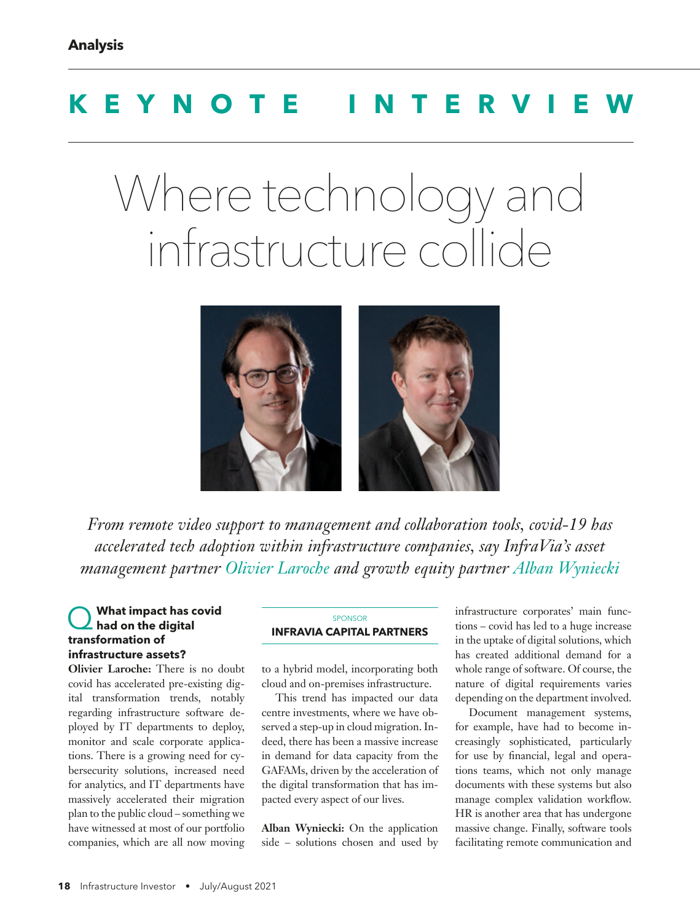## **KEYNOTE INTERV**

# Where technology and infrastructure collide



*From remote video support to management and collaboration tools, covid-19 has accelerated tech adoption within infrastructure companies, say InfraVia's asset management partner Olivier Laroche and growth equity partner Alban Wyniecki*

#### What impact has covid **had on the digital transformation of infrastructure assets?**

**Olivier Laroche:** There is no doubt covid has accelerated pre-existing digital transformation trends, notably regarding infrastructure software deployed by IT departments to deploy, monitor and scale corporate applications. There is a growing need for cybersecurity solutions, increased need for analytics, and IT departments have massively accelerated their migration plan to the public cloud – something we have witnessed at most of our portfolio companies, which are all now moving

#### SPONSOR **INFRAVIA CAPITAL PARTNERS**

to a hybrid model, incorporating both cloud and on-premises infrastructure.

This trend has impacted our data centre investments, where we have observed a step-up in cloud migration. Indeed, there has been a massive increase in demand for data capacity from the GAFAMs, driven by the acceleration of the digital transformation that has impacted every aspect of our lives.

**Alban Wyniecki:** On the application side – solutions chosen and used by infrastructure corporates' main functions – covid has led to a huge increase in the uptake of digital solutions, which has created additional demand for a whole range of software. Of course, the nature of digital requirements varies depending on the department involved.

Document management systems, for example, have had to become increasingly sophisticated, particularly for use by financial, legal and operations teams, which not only manage documents with these systems but also manage complex validation workflow. HR is another area that has undergone massive change. Finally, software tools facilitating remote communication and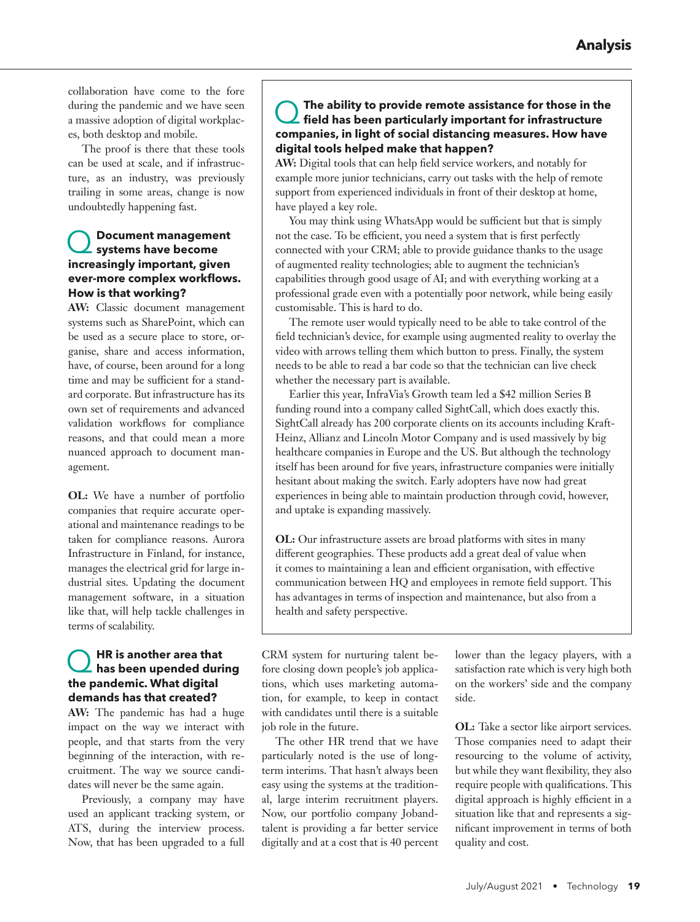collaboration have come to the fore during the pandemic and we have seen a massive adoption of digital workplaces, both desktop and mobile.

The proof is there that these tools can be used at scale, and if infrastructure, as an industry, was previously trailing in some areas, change is now undoubtedly happening fast.

#### Q **Document management systems have become increasingly important, given ever-more complex workflows. How is that working?**

**AW:** Classic document management systems such as SharePoint, which can be used as a secure place to store, organise, share and access information, have, of course, been around for a long time and may be sufficient for a standard corporate. But infrastructure has its own set of requirements and advanced validation workflows for compliance reasons, and that could mean a more nuanced approach to document management.

**OL:** We have a number of portfolio companies that require accurate operational and maintenance readings to be taken for compliance reasons. Aurora Infrastructure in Finland, for instance, manages the electrical grid for large industrial sites. Updating the document management software, in a situation like that, will help tackle challenges in terms of scalability.

## Q **HR is another area that has been upended during the pandemic. What digital demands has that created?**

**AW:** The pandemic has had a huge impact on the way we interact with people, and that starts from the very beginning of the interaction, with recruitment. The way we source candidates will never be the same again.

Previously, a company may have used an applicant tracking system, or ATS, during the interview process. Now, that has been upgraded to a full

## Q **The ability to provide remote assistance for those in the field has been particularly important for infrastructure companies, in light of social distancing measures. How have digital tools helped make that happen?**

**AW:** Digital tools that can help field service workers, and notably for example more junior technicians, carry out tasks with the help of remote support from experienced individuals in front of their desktop at home, have played a key role.

You may think using WhatsApp would be sufficient but that is simply not the case. To be efficient, you need a system that is first perfectly connected with your CRM; able to provide guidance thanks to the usage of augmented reality technologies; able to augment the technician's capabilities through good usage of AI; and with everything working at a professional grade even with a potentially poor network, while being easily customisable. This is hard to do.

The remote user would typically need to be able to take control of the field technician's device, for example using augmented reality to overlay the video with arrows telling them which button to press. Finally, the system needs to be able to read a bar code so that the technician can live check whether the necessary part is available.

Earlier this year, InfraVia's Growth team led a \$42 million Series B funding round into a company called SightCall, which does exactly this. SightCall already has 200 corporate clients on its accounts including Kraft-Heinz, Allianz and Lincoln Motor Company and is used massively by big healthcare companies in Europe and the US. But although the technology itself has been around for five years, infrastructure companies were initially hesitant about making the switch. Early adopters have now had great experiences in being able to maintain production through covid, however, and uptake is expanding massively.

**OL:** Our infrastructure assets are broad platforms with sites in many different geographies. These products add a great deal of value when it comes to maintaining a lean and efficient organisation, with effective communication between HQ and employees in remote field support. This has advantages in terms of inspection and maintenance, but also from a health and safety perspective.

CRM system for nurturing talent before closing down people's job applications, which uses marketing automation, for example, to keep in contact with candidates until there is a suitable job role in the future.

The other HR trend that we have particularly noted is the use of longterm interims. That hasn't always been easy using the systems at the traditional, large interim recruitment players. Now, our portfolio company Jobandtalent is providing a far better service digitally and at a cost that is 40 percent lower than the legacy players, with a satisfaction rate which is very high both on the workers' side and the company side.

**OL:** Take a sector like airport services. Those companies need to adapt their resourcing to the volume of activity, but while they want flexibility, they also require people with qualifications. This digital approach is highly efficient in a situation like that and represents a significant improvement in terms of both quality and cost.